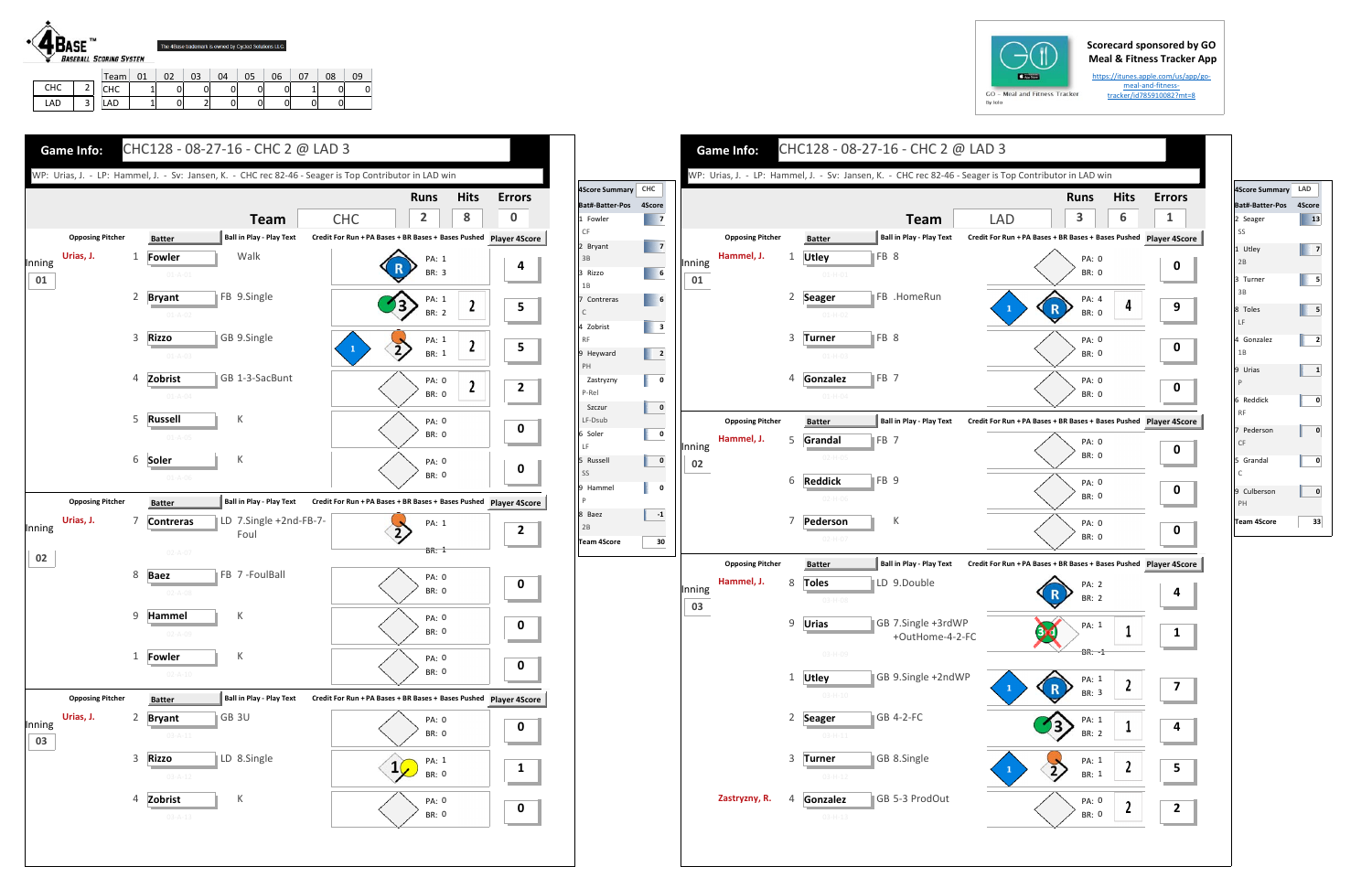## **Scorecard sponsored by GO Meal & Fitness Tracker App**

https://itunes.apple.com/us/app/go‐ meal-and-fitnesstracker/id785910082?mt=8



LAD 3

CHC | 1 | 0 | 0 | 0 | 0 | 0 | 1 | 0 | 0 LAD | 1| 0| 2| 0| 0| 0| 0| 0









| <b>4Score Summary</b>       | LAD          |
|-----------------------------|--------------|
| Bat#-Batter-Pos             | 4Score       |
| 2 Seager<br>SS              | 13           |
| 1 Utley<br>2B               | 7            |
| 3 Turner<br>3B              | 5            |
| 8 Toles<br>LF               | 5            |
| 4 Gonzalez<br>1B            | 2            |
| 9 Urias<br>P                | $\mathbf{1}$ |
| 6 Reddick<br><b>RF</b>      | 0            |
| 7 Pederson<br>CF            | 0            |
| 5 Grandal<br>$\overline{C}$ | 0            |
| 9 Culberson<br>PH           | 0            |
| <b>Team 4Score</b>          | 33           |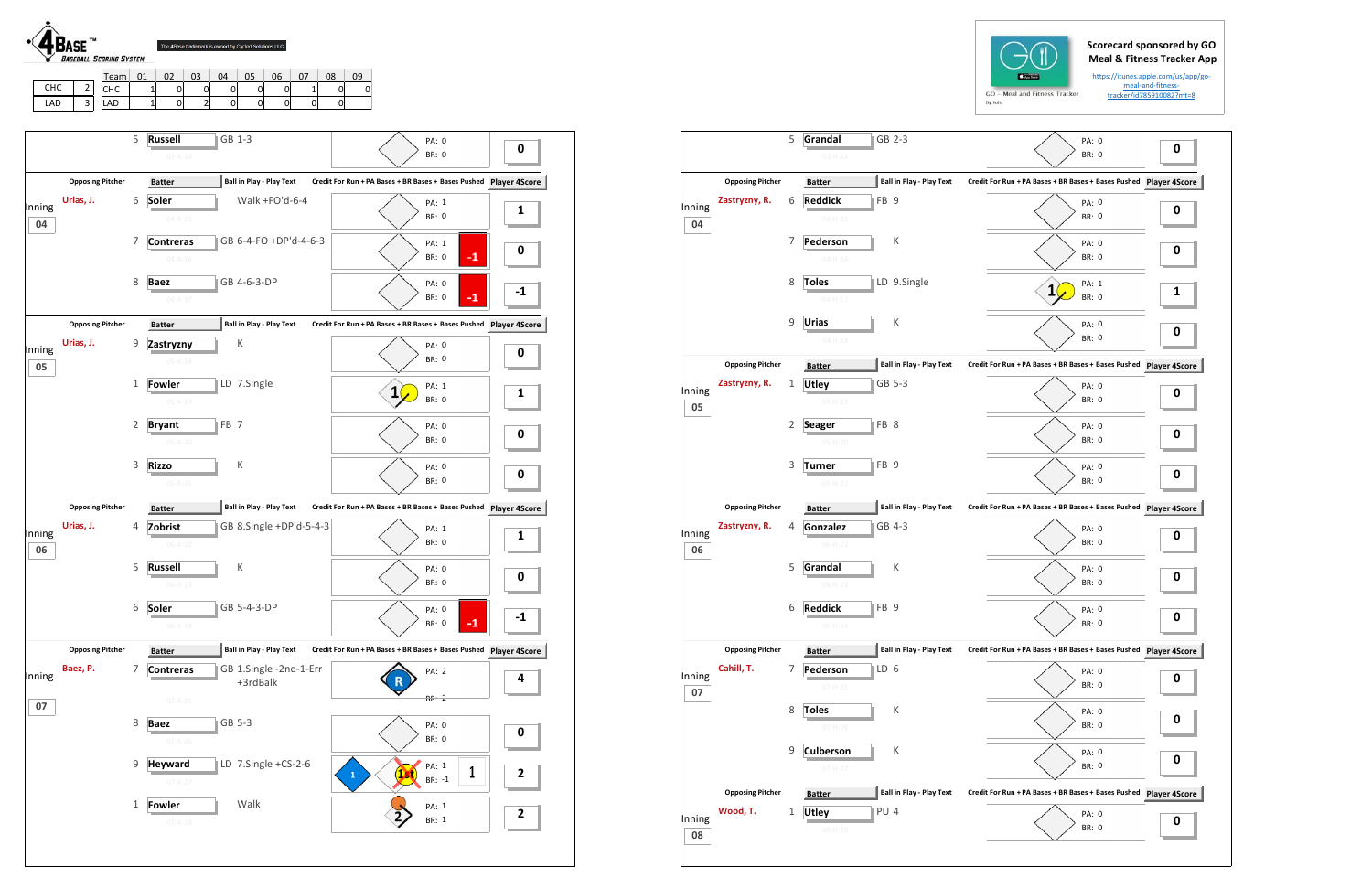## **Scorecard sponsored by GO Meal & Fitness Tracker App**



|     |   | i earn         | UT | UZ | U3 | U4 | U5 | Ub | Uŏ | UУ |
|-----|---|----------------|----|----|----|----|----|----|----|----|
| снс | - | $\cdots$<br>ᄓᄔ |    | U  | ັ  |    |    | u  |    |    |
| LAD | ت | ᇅ              |    | U  | -  |    |    | U  |    |    |





**04**

**05**

**06**

**07**

**08**